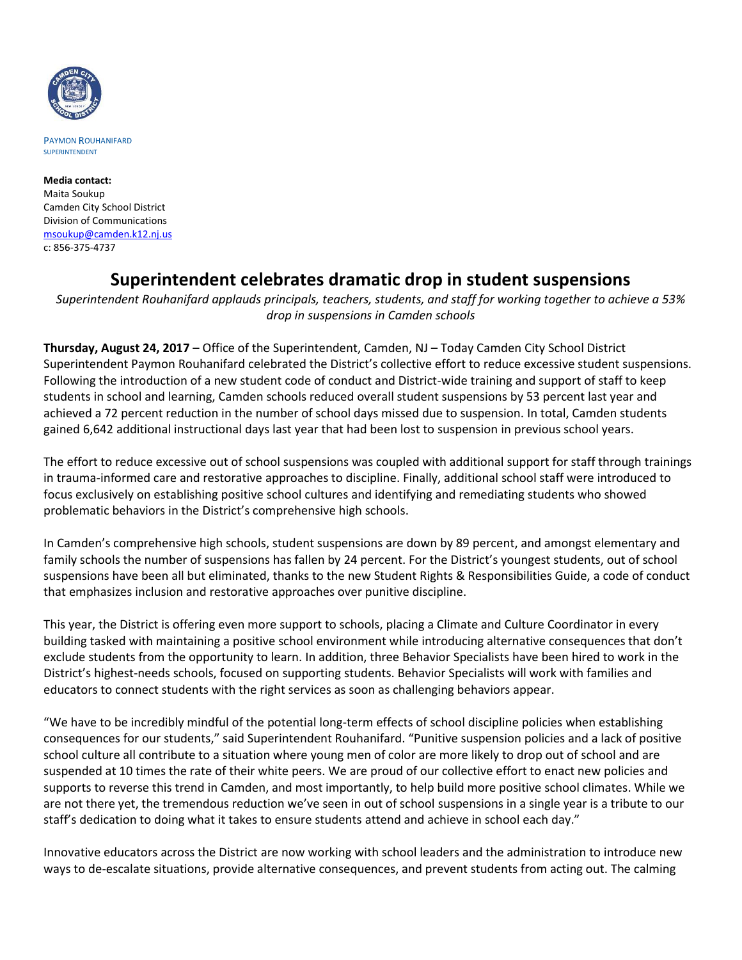

PAYMON ROUHANIFARD SUPERINTENDENT

**Media contact:** Maita Soukup Camden City School District Division of Communications [msoukup@camden.k12.nj.us](mailto:msoukup@camden.k12.nj.us) c: 856-375-4737

## **Superintendent celebrates dramatic drop in student suspensions**

*Superintendent Rouhanifard applauds principals, teachers, students, and staff for working together to achieve a 53% drop in suspensions in Camden schools*

**Thursday, August 24, 2017** – Office of the Superintendent, Camden, NJ – Today Camden City School District Superintendent Paymon Rouhanifard celebrated the District's collective effort to reduce excessive student suspensions. Following the introduction of a new student code of conduct and District-wide training and support of staff to keep students in school and learning, Camden schools reduced overall student suspensions by 53 percent last year and achieved a 72 percent reduction in the number of school days missed due to suspension. In total, Camden students gained 6,642 additional instructional days last year that had been lost to suspension in previous school years.

The effort to reduce excessive out of school suspensions was coupled with additional support for staff through trainings in trauma-informed care and restorative approaches to discipline. Finally, additional school staff were introduced to focus exclusively on establishing positive school cultures and identifying and remediating students who showed problematic behaviors in the District's comprehensive high schools.

In Camden's comprehensive high schools, student suspensions are down by 89 percent, and amongst elementary and family schools the number of suspensions has fallen by 24 percent. For the District's youngest students, out of school suspensions have been all but eliminated, thanks to the new Student Rights & Responsibilities Guide, a code of conduct that emphasizes inclusion and restorative approaches over punitive discipline.

This year, the District is offering even more support to schools, placing a Climate and Culture Coordinator in every building tasked with maintaining a positive school environment while introducing alternative consequences that don't exclude students from the opportunity to learn. In addition, three Behavior Specialists have been hired to work in the District's highest-needs schools, focused on supporting students. Behavior Specialists will work with families and educators to connect students with the right services as soon as challenging behaviors appear.

"We have to be incredibly mindful of the potential long-term effects of school discipline policies when establishing consequences for our students," said Superintendent Rouhanifard. "Punitive suspension policies and a lack of positive school culture all contribute to a situation where young men of color are more likely to drop out of school and are suspended at 10 times the rate of their white peers. We are proud of our collective effort to enact new policies and supports to reverse this trend in Camden, and most importantly, to help build more positive school climates. While we are not there yet, the tremendous reduction we've seen in out of school suspensions in a single year is a tribute to our staff's dedication to doing what it takes to ensure students attend and achieve in school each day."

Innovative educators across the District are now working with school leaders and the administration to introduce new ways to de-escalate situations, provide alternative consequences, and prevent students from acting out. The calming